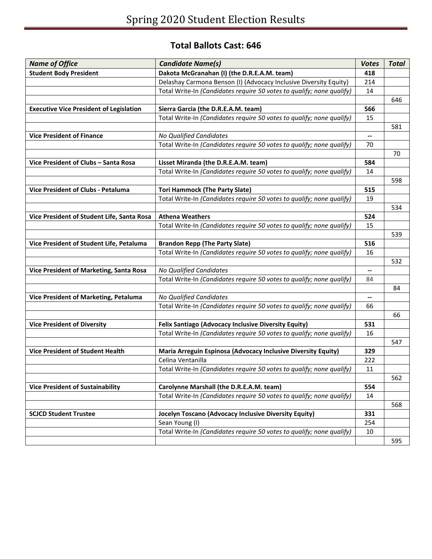## **Total Ballots Cast: 646**

| <b>Name of Office</b>                          | <b>Candidate Name(s)</b>                                              | <b>Votes</b>           | <b>Total</b> |
|------------------------------------------------|-----------------------------------------------------------------------|------------------------|--------------|
| <b>Student Body President</b>                  | Dakota McGranahan (I) (the D.R.E.A.M. team)                           | 418                    |              |
|                                                | Delashay Carmona Benson (I) (Advocacy Inclusive Diversity Equity)     | 214                    |              |
|                                                | Total Write-In (Candidates require 50 votes to qualify; none qualify) | 14                     |              |
|                                                |                                                                       |                        | 646          |
| <b>Executive Vice President of Legislation</b> | Sierra Garcia (the D.R.E.A.M. team)                                   | 566                    |              |
|                                                | Total Write-In (Candidates require 50 votes to qualify; none qualify) | 15                     |              |
|                                                |                                                                       |                        | 581          |
| <b>Vice President of Finance</b>               | No Qualified Candidates                                               | $\qquad \qquad \cdots$ |              |
|                                                | Total Write-In (Candidates require 50 votes to qualify; none qualify) | 70                     |              |
|                                                |                                                                       |                        | 70           |
| Vice President of Clubs - Santa Rosa           | Lisset Miranda (the D.R.E.A.M. team)                                  | 584                    |              |
|                                                | Total Write-In (Candidates require 50 votes to qualify; none qualify) | 14                     |              |
|                                                |                                                                       |                        | 598          |
| Vice President of Clubs - Petaluma             | <b>Tori Hammock (The Party Slate)</b>                                 | 515                    |              |
|                                                | Total Write-In (Candidates require 50 votes to qualify; none qualify) | 19                     |              |
|                                                |                                                                       |                        | 534          |
| Vice President of Student Life, Santa Rosa     | <b>Athena Weathers</b>                                                | 524                    |              |
|                                                | Total Write-In (Candidates require 50 votes to qualify; none qualify) | 15                     |              |
|                                                |                                                                       |                        | 539          |
| Vice President of Student Life, Petaluma       | <b>Brandon Repp (The Party Slate)</b>                                 | 516                    |              |
|                                                | Total Write-In (Candidates require 50 votes to qualify; none qualify) | 16                     |              |
|                                                |                                                                       |                        | 532          |
| Vice President of Marketing, Santa Rosa        | No Qualified Candidates                                               | $\qquad \qquad \cdots$ |              |
|                                                | Total Write-In (Candidates require 50 votes to qualify; none qualify) | 84                     |              |
|                                                |                                                                       |                        | 84           |
| Vice President of Marketing, Petaluma          | No Qualified Candidates                                               | --                     |              |
|                                                | Total Write-In (Candidates require 50 votes to qualify; none qualify) | 66                     |              |
|                                                |                                                                       |                        | 66           |
| <b>Vice President of Diversity</b>             | Felix Santiago (Advocacy Inclusive Diversity Equity)                  | 531                    |              |
|                                                | Total Write-In (Candidates require 50 votes to qualify; none qualify) | 16                     |              |
|                                                |                                                                       |                        | 547          |
| <b>Vice President of Student Health</b>        | Maria Arreguin Espinosa (Advocacy Inclusive Diversity Equity)         | 329                    |              |
|                                                | Celina Ventanilla                                                     | 222                    |              |
|                                                | Total Write-In (Candidates require 50 votes to qualify; none qualify) | 11                     |              |
|                                                |                                                                       |                        | 562          |
| <b>Vice President of Sustainability</b>        | Carolynne Marshall (the D.R.E.A.M. team)                              | 554                    |              |
|                                                | Total Write-In (Candidates require 50 votes to qualify; none qualify) | 14                     |              |
|                                                |                                                                       |                        | 568          |
| <b>SCJCD Student Trustee</b>                   | Jocelyn Toscano (Advocacy Inclusive Diversity Equity)                 | 331                    |              |
|                                                | Sean Young (I)                                                        | 254                    |              |
|                                                | Total Write-In (Candidates require 50 votes to qualify; none qualify) | 10                     |              |
|                                                |                                                                       |                        | 595          |